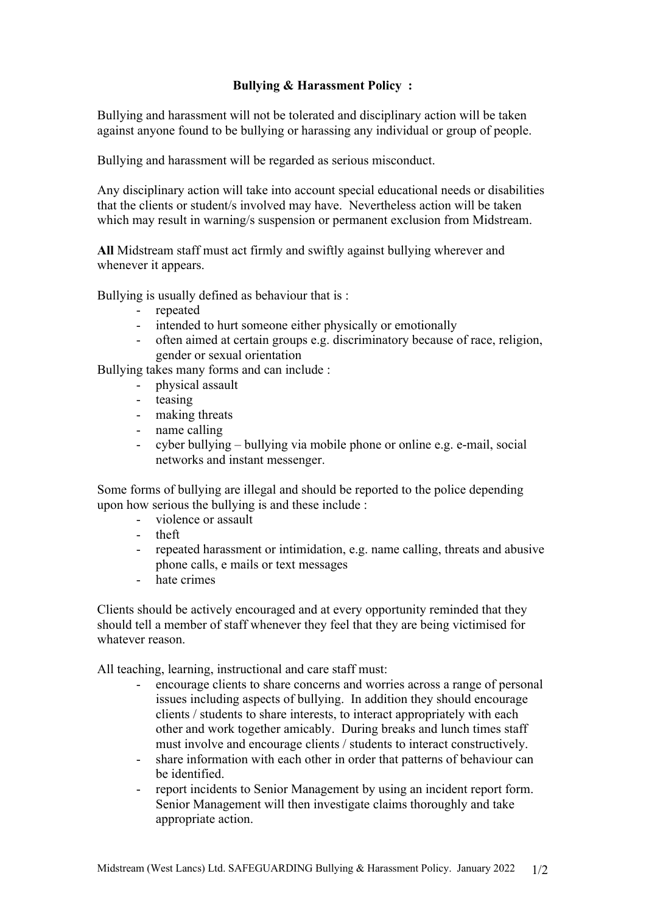## **Bullying & Harassment Policy :**

Bullying and harassment will not be tolerated and disciplinary action will be taken against anyone found to be bullying or harassing any individual or group of people.

Bullying and harassment will be regarded as serious misconduct.

Any disciplinary action will take into account special educational needs or disabilities that the clients or student/s involved may have. Nevertheless action will be taken which may result in warning/s suspension or permanent exclusion from Midstream.

**All** Midstream staff must act firmly and swiftly against bullying wherever and whenever it appears.

Bullying is usually defined as behaviour that is :

- repeated
- intended to hurt someone either physically or emotionally
- often aimed at certain groups e.g. discriminatory because of race, religion, gender or sexual orientation

Bullying takes many forms and can include :

- physical assault
- teasing
- making threats
- name calling
- cyber bullying bullying via mobile phone or online e.g. e-mail, social networks and instant messenger.

Some forms of bullying are illegal and should be reported to the police depending upon how serious the bullying is and these include :

- violence or assault
- theft
- repeated harassment or intimidation, e.g. name calling, threats and abusive phone calls, e mails or text messages
- hate crimes

Clients should be actively encouraged and at every opportunity reminded that they should tell a member of staff whenever they feel that they are being victimised for whatever reason.

All teaching, learning, instructional and care staff must:

- encourage clients to share concerns and worries across a range of personal issues including aspects of bullying. In addition they should encourage clients / students to share interests, to interact appropriately with each other and work together amicably. During breaks and lunch times staff must involve and encourage clients / students to interact constructively.
- share information with each other in order that patterns of behaviour can be identified.
- report incidents to Senior Management by using an incident report form. Senior Management will then investigate claims thoroughly and take appropriate action.